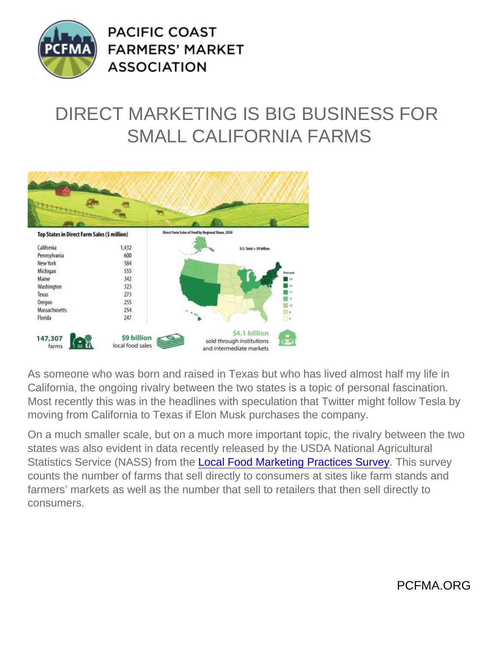## DIRECT MARKETING IS BIG BUSINESS FOR SMALL CALIFORNIA FARMS

As someone who was born and raised in Texas but who has lived almost half my life in California, the ongoing rivalry between the two states is a topic of personal fascination. Most recently this was in the headlines with speculation that Twitter might follow Tesla by moving from California to Texas if Elon Musk purchases the company.

On a much smaller scale, but on a much more important topic, the rivalry between the two states was also evident in data recently released by the USDA National Agricultural Statistics Service (NASS) from the [Local Food Marketing Practices Survey](https://www.nass.usda.gov/Publications/AgCensus/2017/Online_Resources/Local_Food/index.php). This survey counts the number of farms that sell directly to consumers at sites like farm stands and farmers' markets as well as the number that sell to retailers that then sell directly to consumers.

PCFMA.ORG